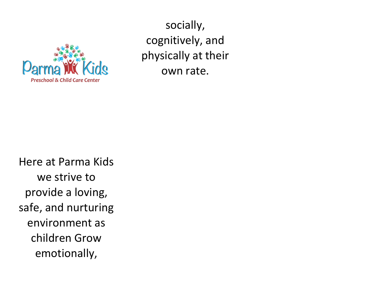

socially, cognitively, and physically at their own rate.

Here at Parma Kids we strive to provide a loving, safe, and nurturing environment as children Grow emotionally,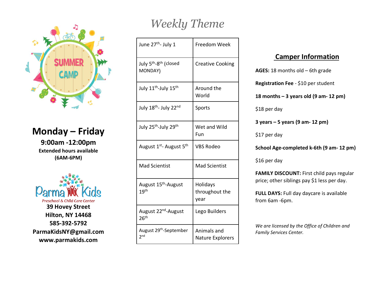

## **Monday – Friday**

**9:00am -12:00pm Extended hours available (6AM-6PM)**



## *Weekly Theme*

| June 27 <sup>th</sup> - July 1                           | Freedom Week                       |
|----------------------------------------------------------|------------------------------------|
| July 5 <sup>th</sup> -8 <sup>th</sup> (closed<br>MONDAY) | <b>Creative Cooking</b>            |
| July 11 <sup>th</sup> -July 15 <sup>th</sup>             | Around the<br>World                |
| July 18th- July 22nd                                     | Sports                             |
| July 25 <sup>th</sup> -July 29 <sup>th</sup>             | Wet and Wild<br>Fun                |
| August 1 <sup>st</sup> - August 5 <sup>th</sup>          | <b>VBS Rodeo</b>                   |
| <b>Mad Scientist</b>                                     | <b>Mad Scientist</b>               |
| August 15 <sup>th</sup> -August<br>19 <sup>th</sup>      | Holidays<br>throughout the<br>year |
| August 22 <sup>nd</sup> -August<br>26 <sup>th</sup>      | Lego Builders                      |
| August 29 <sup>th</sup> -September<br>2 <sup>nd</sup>    | Animals and<br>Nature Explorers    |

## **Camper Information**

**AGES:** 18 months old – 6th grade

**Registration Fee** - \$10 per student

**18 months – 3 years old (9 am- 12 pm)**

\$18 per day

**3 years – 5 years (9 am- 12 pm)**

\$17 per day

**School Age-completed k-6th (9 am- 12 pm)**

\$16 per day

**FAMILY DISCOUNT: First child pays regular** price; other siblings pay \$1 less per day.

**FULL DAYS:** Full day daycare is available from 6am -6pm.

*We are licensed by the Office of Children and Family Services Center.*